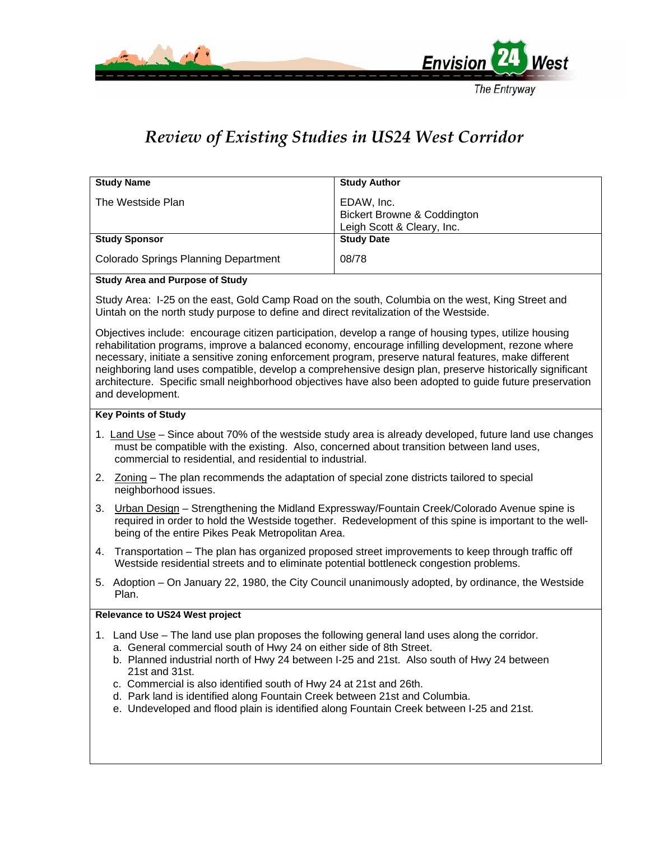

## The Entryway

# *Review of Existing Studies in US24 West Corridor*

| <b>Study Name</b>                           | <b>Study Author</b>                                                                |
|---------------------------------------------|------------------------------------------------------------------------------------|
| The Westside Plan                           | EDAW, Inc.<br><b>Bickert Browne &amp; Coddington</b><br>Leigh Scott & Cleary, Inc. |
| <b>Study Sponsor</b>                        | <b>Study Date</b>                                                                  |
| <b>Colorado Springs Planning Department</b> | 08/78                                                                              |

# **Study Area and Purpose of Study**

Study Area: I-25 on the east, Gold Camp Road on the south, Columbia on the west, King Street and Uintah on the north study purpose to define and direct revitalization of the Westside.

Objectives include: encourage citizen participation, develop a range of housing types, utilize housing rehabilitation programs, improve a balanced economy, encourage infilling development, rezone where necessary, initiate a sensitive zoning enforcement program, preserve natural features, make different neighboring land uses compatible, develop a comprehensive design plan, preserve historically significant architecture. Specific small neighborhood objectives have also been adopted to guide future preservation and development.

### **Key Points of Study**

- 1. Land Use Since about 70% of the westside study area is already developed, future land use changes must be compatible with the existing. Also, concerned about transition between land uses, commercial to residential, and residential to industrial.
- 2. Zoning The plan recommends the adaptation of special zone districts tailored to special neighborhood issues.
- 3. Urban Design Strengthening the Midland Expressway/Fountain Creek/Colorado Avenue spine is required in order to hold the Westside together. Redevelopment of this spine is important to the wellbeing of the entire Pikes Peak Metropolitan Area.
- 4. Transportation The plan has organized proposed street improvements to keep through traffic off Westside residential streets and to eliminate potential bottleneck congestion problems.
- 5. Adoption On January 22, 1980, the City Council unanimously adopted, by ordinance, the Westside Plan.

## **Relevance to US24 West project**

- 1. Land Use The land use plan proposes the following general land uses along the corridor.
	- a. General commercial south of Hwy 24 on either side of 8th Street.
	- b. Planned industrial north of Hwy 24 between I-25 and 21st. Also south of Hwy 24 between 21st and 31st.
	- c. Commercial is also identified south of Hwy 24 at 21st and 26th.
	- d. Park land is identified along Fountain Creek between 21st and Columbia.
	- e. Undeveloped and flood plain is identified along Fountain Creek between I-25 and 21st.